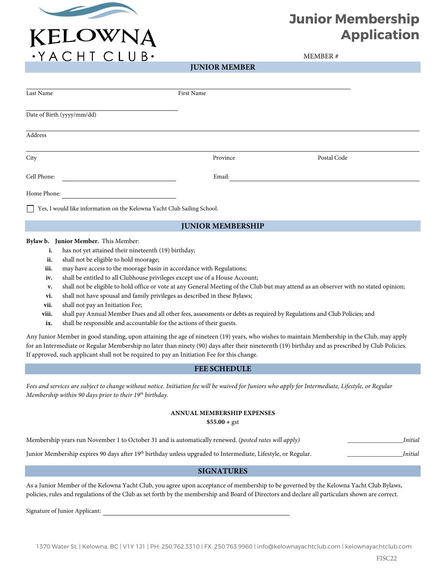

· YACHT CLUB·

## **Junior Membership Application**

MEMBER #

**JUNIOR MEMBER**

| Last Name                                                                                                                                                                                                                                                                                                                                                                                                                                                                                   | First Name                                                                                                                                                                                                                                                                            |                                                                                                                                                                                                                                                                                                                                                                                                                                           |
|---------------------------------------------------------------------------------------------------------------------------------------------------------------------------------------------------------------------------------------------------------------------------------------------------------------------------------------------------------------------------------------------------------------------------------------------------------------------------------------------|---------------------------------------------------------------------------------------------------------------------------------------------------------------------------------------------------------------------------------------------------------------------------------------|-------------------------------------------------------------------------------------------------------------------------------------------------------------------------------------------------------------------------------------------------------------------------------------------------------------------------------------------------------------------------------------------------------------------------------------------|
| Date of Birth (yyyy/mm/dd)                                                                                                                                                                                                                                                                                                                                                                                                                                                                  |                                                                                                                                                                                                                                                                                       |                                                                                                                                                                                                                                                                                                                                                                                                                                           |
| Address                                                                                                                                                                                                                                                                                                                                                                                                                                                                                     |                                                                                                                                                                                                                                                                                       |                                                                                                                                                                                                                                                                                                                                                                                                                                           |
| City                                                                                                                                                                                                                                                                                                                                                                                                                                                                                        | Province                                                                                                                                                                                                                                                                              | Postal Code                                                                                                                                                                                                                                                                                                                                                                                                                               |
| Cell Phone:                                                                                                                                                                                                                                                                                                                                                                                                                                                                                 | Email:                                                                                                                                                                                                                                                                                |                                                                                                                                                                                                                                                                                                                                                                                                                                           |
| Home Phone:                                                                                                                                                                                                                                                                                                                                                                                                                                                                                 |                                                                                                                                                                                                                                                                                       |                                                                                                                                                                                                                                                                                                                                                                                                                                           |
| Yes, I would like information on the Kelowna Yacht Club Sailing School.                                                                                                                                                                                                                                                                                                                                                                                                                     |                                                                                                                                                                                                                                                                                       |                                                                                                                                                                                                                                                                                                                                                                                                                                           |
|                                                                                                                                                                                                                                                                                                                                                                                                                                                                                             | <b>JUNIOR MEMBERSHIP</b>                                                                                                                                                                                                                                                              |                                                                                                                                                                                                                                                                                                                                                                                                                                           |
| Bylaw b. Junior Member. This Member:<br>has not yet attained their nineteenth (19) birthday;<br>i.<br>shall not be eligible to hold moorage;<br>ii.<br>may have access to the moorage basin in accordance with Regulations;<br>iii.<br>iv.<br>v.<br>vi.<br>shall not pay an Initiation Fee;<br>vii.<br>viii.<br>shall be responsible and accountable for the actions of their guests.<br>ix.<br>If approved, such applicant shall not be required to pay an Initiation Fee for this change. | shall be entitled to all Clubhouse privileges except use of a House Account;<br>shall not have spousal and family privileges as described in these Bylaws;<br>shall pay Annual Member Dues and all other fees, assessments or debts as required by Regulations and Club Policies; and | shall not be eligible to hold office or vote at any General Meeting of the Club but may attend as an observer with no stated opinion;<br>Any Junior Member in good standing, upon attaining the age of nineteen (19) years, who wishes to maintain Membership in the Club, may apply<br>for an Intermediate or Regular Membership no later than ninety (90) days after their nineteenth (19) birthday and as prescribed by Club Policies. |
|                                                                                                                                                                                                                                                                                                                                                                                                                                                                                             | <b>FEE SCHEDULE</b>                                                                                                                                                                                                                                                                   |                                                                                                                                                                                                                                                                                                                                                                                                                                           |

*Fees and services are subject to change without notice. Initiation fee will be waived for Juniors who apply for Intermediate, Lifestyle, or Regular Membership within 90 days prior to their 19th birthday.*

## **ANNUAL MEMBERSHIP EXPENSES**

**\$55.00 +** gst

|  | Membership years run November 1 to October 31 and is automatically renewed. (posted rates will apply) | Initial |
|--|-------------------------------------------------------------------------------------------------------|---------|
|--|-------------------------------------------------------------------------------------------------------|---------|

Junior Membership expires 90 days after 19th birthday unless upgraded to Intermediate, Lifestyle, or Regular. \_\_\_\_\_\_\_\_\_\_\_\_\_\_\_\_\_*Initial*

## **SIGNATURES**

As a Junior Member of the Kelowna Yacht Club, you agree upon acceptance of membership to be governed by the Kelowna Yacht Club Bylaws, policies, rules and regulations of the Club as set forth by the membership and Board of Directors and declare all particulars shown are correct.

Signature of Junior Applicant: